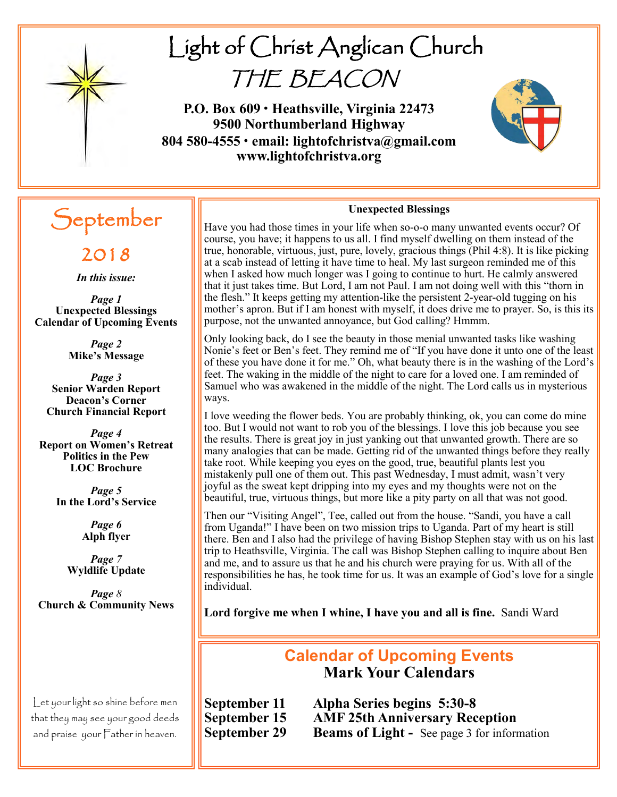

# Light of Christ Anglican Church THE BEACON

**P.O. Box 609 • Heathsville, Virginia 22473 9500 Northumberland Highway 804 580-4555 • email: lightofchristva@gmail.com www.lightofchristva.org**



# September

# 2018

*In this issue:*

*Page 1* **Unexpected Blessings Calendar of Upcoming Events**

> *Page 2* **Mike's Message**

*Page 3* **Senior Warden Report Deacon's Corner Church Financial Report**

*Page 4* **Report on Women's Retreat Politics in the Pew LOC Brochure**

> *Page 5* **In the Lord's Service**

> > *Page 6* **Alph flyer**

*Page 7* **Wyldlife Update**

*Page 8* **Church & Community News**

Let your light so shine before men that they may see your good deeds and praise your Father in heaven.

#### **Unexpected Blessings**

Have you had those times in your life when so-o-o many unwanted events occur? Of course, you have; it happens to us all. I find myself dwelling on them instead of the true, honorable, virtuous, just, pure, lovely, gracious things (Phil 4:8). It is like picking at a scab instead of letting it have time to heal. My last surgeon reminded me of this when I asked how much longer was I going to continue to hurt. He calmly answered that it just takes time. But Lord, I am not Paul. I am not doing well with this "thorn in the flesh." It keeps getting my attention-like the persistent 2-year-old tugging on his mother's apron. But if I am honest with myself, it does drive me to prayer. So, is this its purpose, not the unwanted annoyance, but God calling? Hmmm.

Only looking back, do I see the beauty in those menial unwanted tasks like washing Nonie's feet or Ben's feet. They remind me of "If you have done it unto one of the least of these you have done it for me." Oh, what beauty there is in the washing of the Lord's feet. The waking in the middle of the night to care for a loved one. I am reminded of Samuel who was awakened in the middle of the night. The Lord calls us in mysterious ways.

I love weeding the flower beds. You are probably thinking, ok, you can come do mine too. But I would not want to rob you of the blessings. I love this job because you see the results. There is great joy in just yanking out that unwanted growth. There are so many analogies that can be made. Getting rid of the unwanted things before they really take root. While keeping you eyes on the good, true, beautiful plants lest you mistakenly pull one of them out. This past Wednesday, I must admit, wasn't very joyful as the sweat kept dripping into my eyes and my thoughts were not on the beautiful, true, virtuous things, but more like a pity party on all that was not good.

Then our "Visiting Angel", Tee, called out from the house. "Sandi, you have a call from Uganda!" I have been on two mission trips to Uganda. Part of my heart is still there. Ben and I also had the privilege of having Bishop Stephen stay with us on his last trip to Heathsville, Virginia. The call was Bishop Stephen calling to inquire about Ben and me, and to assure us that he and his church were praying for us. With all of the responsibilities he has, he took time for us. It was an example of God's love for a single individual.

**Lord forgive me when I whine, I have you and all is fine.** Sandi Ward

### **Calendar of Upcoming Events Mark Your Calendars**

**September 11 Alpha Series begins 5:30-8 September 15 AMF 25th Anniversary Reception September 29 Beams of Light -** See page 3 for information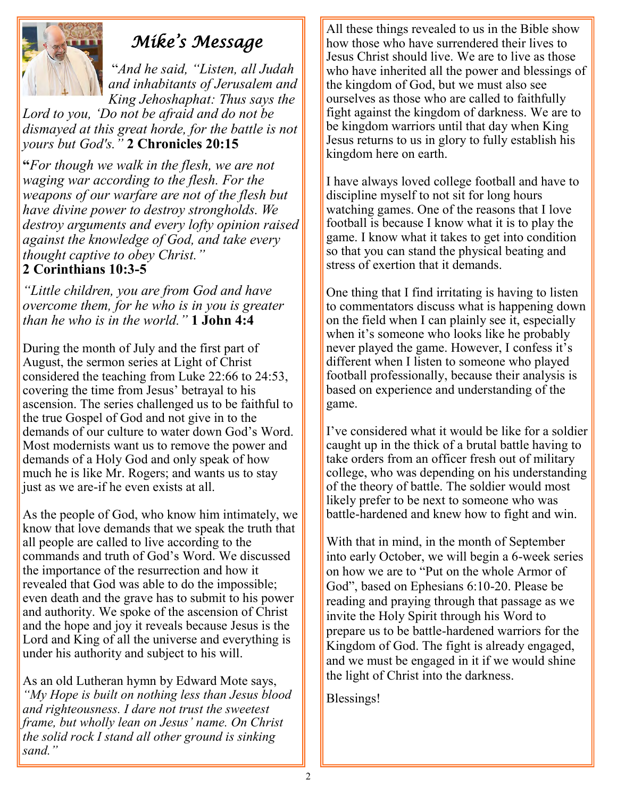

# *Mike's Message*

"*And he said, "Listen, all Judah and inhabitants of Jerusalem and King Jehoshaphat: Thus says the Lord to you, 'Do not be afraid and do not be dismayed at this great horde, for the battle is not* 

*yours but God's."* **2 Chronicles 20:15**

**"***For though we walk in the flesh, we are not waging war according to the flesh. For the weapons of our warfare are not of the flesh but have divine power to destroy strongholds. We destroy arguments and every lofty opinion raised against the knowledge of God, and take every thought captive to obey Christ."*  **2 Corinthians 10:3-5**

*"Little children, you are from God and have overcome them, for he who is in you is greater than he who is in the world."* **1 John 4:4**

During the month of July and the first part of August, the sermon series at Light of Christ considered the teaching from Luke 22:66 to 24:53, covering the time from Jesus' betrayal to his ascension. The series challenged us to be faithful to the true Gospel of God and not give in to the demands of our culture to water down God's Word. Most modernists want us to remove the power and demands of a Holy God and only speak of how much he is like Mr. Rogers; and wants us to stay just as we are-if he even exists at all.

As the people of God, who know him intimately, we know that love demands that we speak the truth that all people are called to live according to the commands and truth of God's Word. We discussed the importance of the resurrection and how it revealed that God was able to do the impossible; even death and the grave has to submit to his power and authority. We spoke of the ascension of Christ and the hope and joy it reveals because Jesus is the Lord and King of all the universe and everything is under his authority and subject to his will.

As an old Lutheran hymn by Edward Mote says, *"My Hope is built on nothing less than Jesus blood and righteousness. I dare not trust the sweetest frame, but wholly lean on Jesus' name. On Christ the solid rock I stand all other ground is sinking sand."*

All these things revealed to us in the Bible show how those who have surrendered their lives to Jesus Christ should live. We are to live as those who have inherited all the power and blessings of the kingdom of God, but we must also see ourselves as those who are called to faithfully fight against the kingdom of darkness. We are to be kingdom warriors until that day when King Jesus returns to us in glory to fully establish his kingdom here on earth.

I have always loved college football and have to discipline myself to not sit for long hours watching games. One of the reasons that I love football is because I know what it is to play the game. I know what it takes to get into condition so that you can stand the physical beating and stress of exertion that it demands.

One thing that I find irritating is having to listen to commentators discuss what is happening down on the field when I can plainly see it, especially when it's someone who looks like he probably never played the game. However, I confess it's different when I listen to someone who played football professionally, because their analysis is based on experience and understanding of the game.

I've considered what it would be like for a soldier caught up in the thick of a brutal battle having to take orders from an officer fresh out of military college, who was depending on his understanding of the theory of battle. The soldier would most likely prefer to be next to someone who was battle-hardened and knew how to fight and win.

With that in mind, in the month of September into early October, we will begin a 6-week series on how we are to "Put on the whole Armor of God", based on Ephesians 6:10-20. Please be reading and praying through that passage as we invite the Holy Spirit through his Word to prepare us to be battle-hardened warriors for the Kingdom of God. The fight is already engaged, and we must be engaged in it if we would shine the light of Christ into the darkness.

Blessings!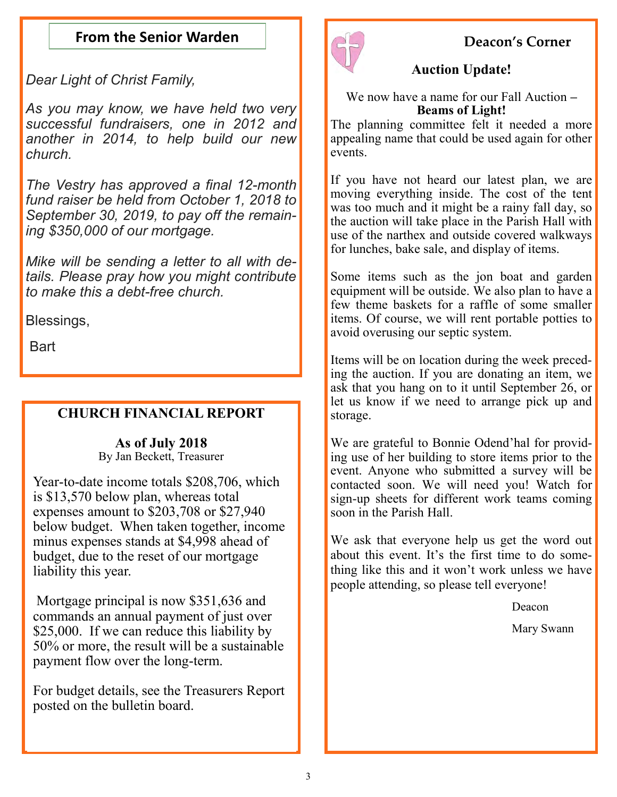### **From the Senior Warden Deacon's Corner**

*Dear Light of Christ Family,*

*As you may know, we have held two very successful fundraisers, one in 2012 and another in 2014, to help build our new church.*

*The Vestry has approved a final 12-month fund raiser be held from October 1, 2018 to September 30, 2019, to pay off the remaining \$350,000 of our mortgage.* 

*Mike will be sending a letter to all with details. Please pray how you might contribute to make this a debt-free church.* 

Blessings,

Bart

#### **CHURCH FINANCIAL REPORT**

**As of July 2018** By Jan Beckett, Treasurer

Year-to-date income totals \$208,706, which is \$13,570 below plan, whereas total expenses amount to \$203,708 or \$27,940 below budget. When taken together, income minus expenses stands at \$4,998 ahead of budget, due to the reset of our mortgage liability this year.

Mortgage principal is now \$351,636 and commands an annual payment of just over \$25,000. If we can reduce this liability by 50% or more, the result will be a sustainable payment flow over the long-term.

For budget details, see the Treasurers Report posted on the bulletin board.



#### **Auction Update!**

#### We now have a name for our Fall Auction **– Beams of Light!**

The planning committee felt it needed a more appealing name that could be used again for other events.

If you have not heard our latest plan, we are moving everything inside. The cost of the tent was too much and it might be a rainy fall day, so the auction will take place in the Parish Hall with use of the narthex and outside covered walkways for lunches, bake sale, and display of items.

Some items such as the jon boat and garden equipment will be outside. We also plan to have a few theme baskets for a raffle of some smaller items. Of course, we will rent portable potties to avoid overusing our septic system.

Items will be on location during the week preceding the auction. If you are donating an item, we ask that you hang on to it until September 26, or let us know if we need to arrange pick up and storage.

We are grateful to Bonnie Odend'hal for providing use of her building to store items prior to the event. Anyone who submitted a survey will be contacted soon. We will need you! Watch for sign-up sheets for different work teams coming soon in the Parish Hall.

We ask that everyone help us get the word out about this event. It's the first time to do something like this and it won't work unless we have people attending, so please tell everyone!

Deacon

Mary Swann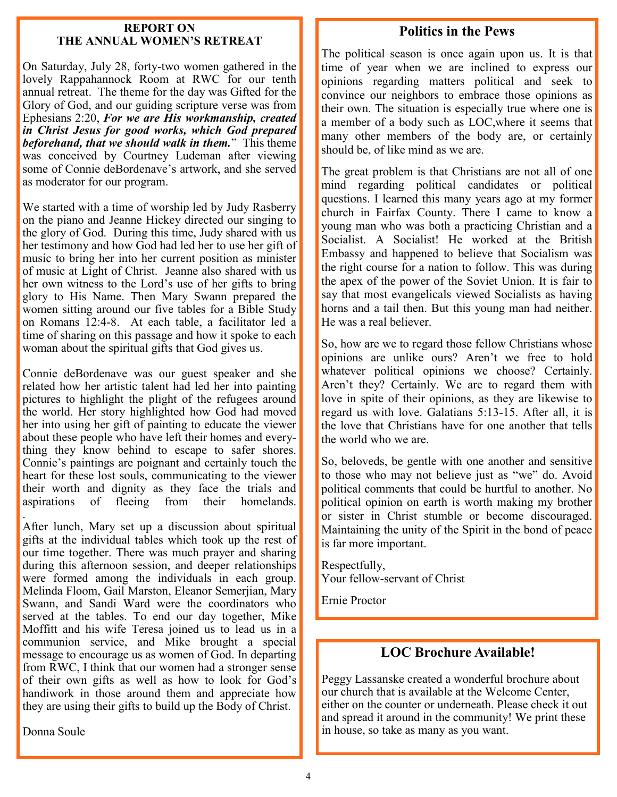#### **REPORT ON THE ANNUAL WOMEN'S RETREAT**

On Saturday, July 28, forty-two women gathered in the lovely Rappahannock Room at RWC for our tenth annual retreat. The theme for the day was Gifted for the Glory of God, and our guiding scripture verse was from Ephesians 2:20, *For we are His workmanship, created in Christ Jesus for good works, which God prepared beforehand, that we should walk in them.*" This theme was conceived by Courtney Ludeman after viewing some of Connie deBordenave's artwork, and she served as moderator for our program.

We started with a time of worship led by Judy Rasberry on the piano and Jeanne Hickey directed our singing to the glory of God. During this time, Judy shared with us her testimony and how God had led her to use her gift of music to bring her into her current position as minister of music at Light of Christ. Jeanne also shared with us her own witness to the Lord's use of her gifts to bring glory to His Name. Then Mary Swann prepared the women sitting around our five tables for a Bible Study on Romans 12:4-8. At each table, a facilitator led a time of sharing on this passage and how it spoke to each woman about the spiritual gifts that God gives us.

Connie deBordenave was our guest speaker and she related how her artistic talent had led her into painting pictures to highlight the plight of the refugees around the world. Her story highlighted how God had moved her into using her gift of painting to educate the viewer about these people who have left their homes and everything they know behind to escape to safer shores. Connie's paintings are poignant and certainly touch the heart for these lost souls, communicating to the viewer their worth and dignity as they face the trials and aspirations of fleeing from their homelands.

. After lunch, Mary set up a discussion about spiritual gifts at the individual tables which took up the rest of our time together. There was much prayer and sharing during this afternoon session, and deeper relationships were formed among the individuals in each group. Melinda Floom, Gail Marston, Eleanor Semerjian, Mary Swann, and Sandi Ward were the coordinators who served at the tables. To end our day together, Mike Moffitt and his wife Teresa joined us to lead us in a communion service, and Mike brought a special message to encourage us as women of God. In departing from RWC, I think that our women had a stronger sense of their own gifts as well as how to look for God's handiwork in those around them and appreciate how they are using their gifts to build up the Body of Christ.

Donna Soule

#### **Politics in the Pews**

The political season is once again upon us. It is that time of year when we are inclined to express our opinions regarding matters political and seek to convince our neighbors to embrace those opinions as their own. The situation is especially true where one is a member of a body such as LOC,where it seems that many other members of the body are, or certainly should be, of like mind as we are.

The great problem is that Christians are not all of one mind regarding political candidates or political questions. I learned this many years ago at my former church in Fairfax County. There I came to know a young man who was both a practicing Christian and a Socialist. A Socialist! He worked at the British Embassy and happened to believe that Socialism was the right course for a nation to follow. This was during the apex of the power of the Soviet Union. It is fair to say that most evangelicals viewed Socialists as having horns and a tail then. But this young man had neither. He was a real believer.

So, how are we to regard those fellow Christians whose opinions are unlike ours? Aren't we free to hold whatever political opinions we choose? Certainly. Aren't they? Certainly. We are to regard them with love in spite of their opinions, as they are likewise to regard us with love. Galatians 5:13-15. After all, it is the love that Christians have for one another that tells the world who we are.

So, beloveds, be gentle with one another and sensitive to those who may not believe just as "we" do. Avoid political comments that could be hurtful to another. No political opinion on earth is worth making my brother or sister in Christ stumble or become discouraged. Maintaining the unity of the Spirit in the bond of peace is far more important.

Respectfully, Your fellow-servant of Christ

Ernie Proctor

#### **LOC Brochure Available!**

Peggy Lassanske created a wonderful brochure about our church that is available at the Welcome Center, either on the counter or underneath. Please check it out and spread it around in the community! We print these in house, so take as many as you want.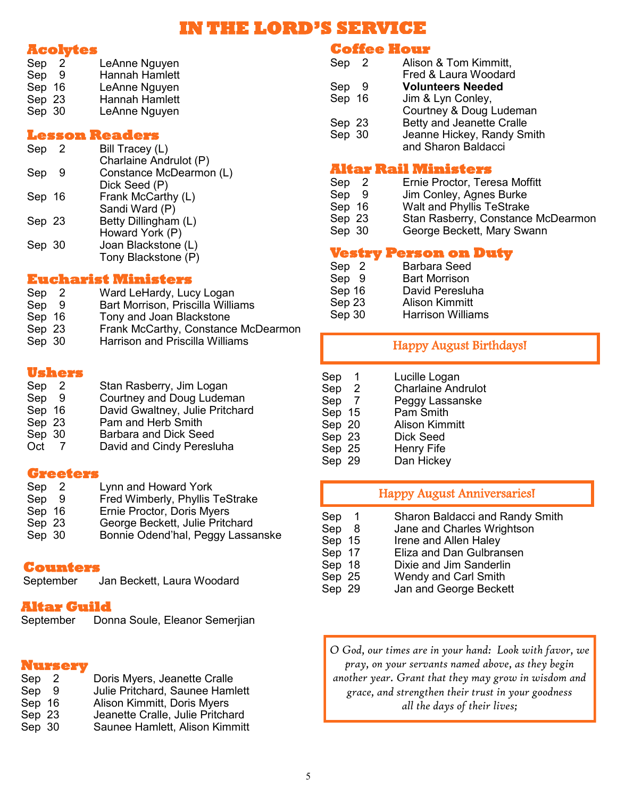## **IN THE LORD'S SERVICE**

#### **Acolytes**

| LeAnne Nguyen                                           |
|---------------------------------------------------------|
| Hannah Hamlett                                          |
| LeAnne Nguyen                                           |
| Hannah Hamlett                                          |
| LeAnne Nguyen                                           |
| Sep <sub>2</sub><br>Sep 9<br>Sep 16<br>Sep 23<br>Sep 30 |

#### **Lesson Readers**

| Sep <sub>2</sub> | Bill Tracey (L)         |
|------------------|-------------------------|
|                  | Charlaine Andrulot (P)  |
| -9               | Constance McDearmon (L) |
|                  | Dick Seed (P)           |
| Sep 16           | Frank McCarthy (L)      |
|                  | Sandi Ward (P)          |
| Sep 23           | Betty Dillingham (L)    |
|                  | Howard York (P)         |
| Sep 30           | Joan Blackstone (L)     |
|                  | Tony Blackstone (P)     |
|                  |                         |

#### **Eucharist Ministers**

| Sep 2  | Ward LeHardy, Lucy Logan               |
|--------|----------------------------------------|
| Sep 9  | Bart Morrison, Priscilla Williams      |
| Sep 16 | Tony and Joan Blackstone               |
| Sep 23 | Frank McCarthy, Constance McDearmon    |
| Sep 30 | <b>Harrison and Priscilla Williams</b> |
|        |                                        |

#### **Ushers**

- Sep 2 Stan Rasberry, Jim Logan<br>Sep 9 Courtney and Doug Luden Sep 9 Courtney and Doug Ludeman<br>Sep 16 David Gwaltney, Julie Pritchar David Gwaltney, Julie Pritchard Sep 23 Pam and Herb Smith
- Sep 30 Barbara and Dick Seed
- Oct 7 David and Cindy Peresluha

#### **Greeters**

| Sep    | -2 | Lynn and Howard York              |
|--------|----|-----------------------------------|
| Sep    | -9 | Fred Wimberly, Phyllis TeStrake   |
| Sep 16 |    | Ernie Proctor, Doris Myers        |
| Sep 23 |    | George Beckett, Julie Pritchard   |
| Sep 30 |    | Bonnie Odend'hal, Peggy Lassanske |

#### **Counters**

September Jan Beckett, Laura Woodard

#### **Altar Guild**

| September | Donna Soule, Eleanor Semerjian |  |
|-----------|--------------------------------|--|
|-----------|--------------------------------|--|

#### **Nursery**

| Sep 2  | Doris Myers, Jeanette Cralle     |
|--------|----------------------------------|
| Sep 9  | Julie Pritchard, Saunee Hamlett  |
| Sep 16 | Alison Kimmitt, Doris Myers      |
| Sep 23 | Jeanette Cralle, Julie Pritchard |
| Sep 30 | Saunee Hamlett, Alison Kimmitt   |

#### **Coffee Hour**

| Sep <sub>2</sub> |    | Alison & Tom Kimmitt,                             |
|------------------|----|---------------------------------------------------|
|                  |    | Fred & Laura Woodard                              |
| Sep              | -9 | <b>Volunteers Needed</b>                          |
| Sep 16           |    | Jim & Lyn Conley,                                 |
|                  |    | Courtney & Doug Ludeman                           |
| Sep 23           |    | <b>Betty and Jeanette Cralle</b>                  |
| Sep 30           |    | Jeanne Hickey, Randy Smith<br>and Sharon Baldacci |
|                  |    |                                                   |

# **Altar Rail Ministers**

- Ernie Proctor, Teresa Moffitt
- Sep 9 Jim Conley, Agnes Burke<br>Sep 16 Walt and Phyllis TeStrake
- Walt and Phyllis TeStrake
- Sep 23 Stan Rasberry, Constance McDearmon
- Sep 30 George Beckett, Mary Swann

#### **Vestry Person on Duty**

| Sep 2  | <b>Barbara Seed</b>      |
|--------|--------------------------|
| Sep 9  | <b>Bart Morrison</b>     |
| Sep 16 | David Peresluha          |
| Sep 23 | <b>Alison Kimmitt</b>    |
| Sep 30 | <b>Harrison Williams</b> |

#### Happy August Birthdays!

| Sep    | Lucille Logan             |
|--------|---------------------------|
| Sep 2  | <b>Charlaine Andrulot</b> |
| Sep 7  | Peggy Lassanske           |
| Sep 15 | Pam Smith                 |
| Sep 20 | <b>Alison Kimmitt</b>     |
| Sep 23 | Dick Seed                 |
| Sep 25 | <b>Henry Fife</b>         |
| Sep 29 | Dan Hickey                |

#### Happy August Anniversaries!

| Sep<br>1 | Sharon Baldacci and Randy Smith |
|----------|---------------------------------|
| Sep 8    | Jane and Charles Wrightson      |
| Sep 15   | Irene and Allen Haley           |
| Sep 17   | Eliza and Dan Gulbransen        |
| Sep 18   | Dixie and Jim Sanderlin         |
| Sep 25   | Wendy and Carl Smith            |
| Sep 29   | Jan and George Beckett          |
|          |                                 |

*O God, our times are in your hand: Look with favor, we pray, on your servants named above, as they begin another year. Grant that they may grow in wisdom and grace, and strengthen their trust in your goodness all the days of their lives;*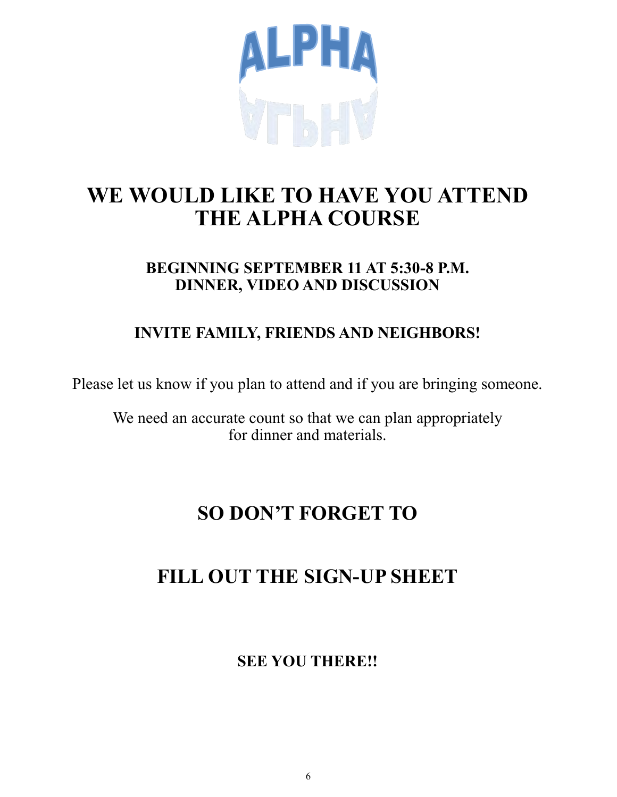

# **WE WOULD LIKE TO HAVE YOU ATTEND THE ALPHA COURSE**

**BEGINNING SEPTEMBER 11 AT 5:30-8 P.M. DINNER, VIDEO AND DISCUSSION**

## **INVITE FAMILY, FRIENDS AND NEIGHBORS!**

Please let us know if you plan to attend and if you are bringing someone.

We need an accurate count so that we can plan appropriately for dinner and materials.

# **SO DON'T FORGET TO**

# **FILL OUT THE SIGN-UP SHEET**

### **SEE YOU THERE!!**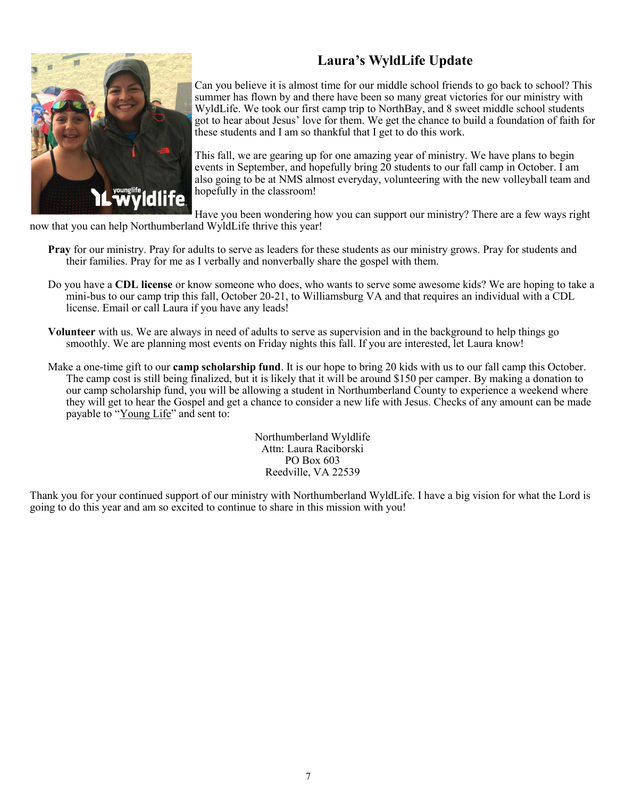### **Laura's WyldLife Update**



Can you believe it is almost time for our middle school friends to go back to school? This summer has flown by and there have been so many great victories for our ministry with WyldLife. We took our first camp trip to NorthBay, and 8 sweet middle school students got to hear about Jesus' love for them. We get the chance to build a foundation of faith for these students and I am so thankful that I get to do this work.

This fall, we are gearing up for one amazing year of ministry. We have plans to begin events in September, and hopefully bring 20 students to our fall camp in October. I am also going to be at NMS almost everyday, volunteering with the new volleyball team and hopefully in the classroom!

Have you been wondering how you can support our ministry? There are a few ways right now that you can help Northumberland WyldLife thrive this year!

- **Pray** for our ministry. Pray for adults to serve as leaders for these students as our ministry grows. Pray for students and their families. Pray for me as I verbally and nonverbally share the gospel with them.
- Do you have a **CDL license** or know someone who does, who wants to serve some awesome kids? We are hoping to take a mini-bus to our camp trip this fall, October 20-21, to Williamsburg VA and that requires an individual with a CDL license. Email or call Laura if you have any leads!
- **Volunteer** with us. We are always in need of adults to serve as supervision and in the background to help things go smoothly. We are planning most events on Friday nights this fall. If you are interested, let Laura know!
- Make a one-time gift to our **camp scholarship fund**. It is our hope to bring 20 kids with us to our fall camp this October. The camp cost is still being finalized, but it is likely that it will be around \$150 per camper. By making a donation to our camp scholarship fund, you will be allowing a student in Northumberland County to experience a weekend where they will get to hear the Gospel and get a chance to consider a new life with Jesus. Checks of any amount can be made payable to "Young Life" and sent to:

Northumberland Wyldlife Attn: Laura Raciborski PO Box 603 Reedville, VA 22539

Thank you for your continued support of our ministry with Northumberland WyldLife. I have a big vision for what the Lord is going to do this year and am so excited to continue to share in this mission with you!